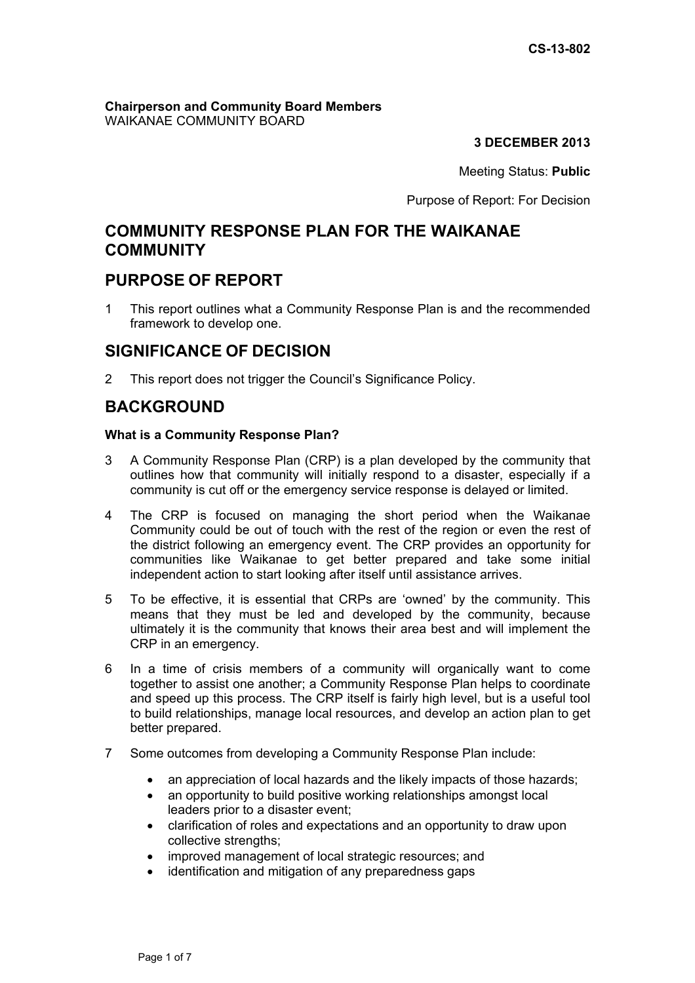### **Chairperson and Community Board Members** WAIKANAE COMMUNITY BOARD

# **3 DECEMBER 2013**

Meeting Status: **Public**

Purpose of Report: For Decision

# **COMMUNITY RESPONSE PLAN FOR THE WAIKANAE COMMUNITY**

# **PURPOSE OF REPORT**

1 This report outlines what a Community Response Plan is and the recommended framework to develop one.

# **SIGNIFICANCE OF DECISION**

2 This report does not trigger the Council's Significance Policy.

# **BACKGROUND**

## **What is a Community Response Plan?**

- 3 A Community Response Plan (CRP) is a plan developed by the community that outlines how that community will initially respond to a disaster, especially if a community is cut off or the emergency service response is delayed or limited.
- 4 The CRP is focused on managing the short period when the Waikanae Community could be out of touch with the rest of the region or even the rest of the district following an emergency event. The CRP provides an opportunity for communities like Waikanae to get better prepared and take some initial independent action to start looking after itself until assistance arrives.
- 5 To be effective, it is essential that CRPs are 'owned' by the community. This means that they must be led and developed by the community, because ultimately it is the community that knows their area best and will implement the CRP in an emergency.
- 6 In a time of crisis members of a community will organically want to come together to assist one another; a Community Response Plan helps to coordinate and speed up this process. The CRP itself is fairly high level, but is a useful tool to build relationships, manage local resources, and develop an action plan to get better prepared.
- 7 Some outcomes from developing a Community Response Plan include:
	- an appreciation of local hazards and the likely impacts of those hazards;
	- an opportunity to build positive working relationships amongst local leaders prior to a disaster event;
	- clarification of roles and expectations and an opportunity to draw upon collective strengths;
	- improved management of local strategic resources; and
	- identification and mitigation of any preparedness gaps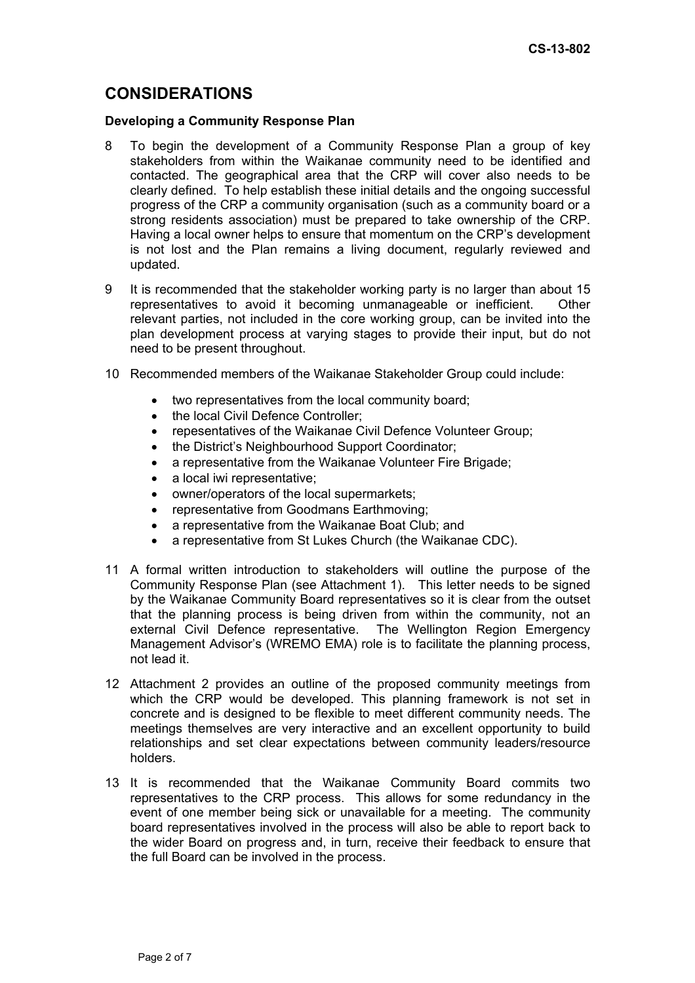# **CONSIDERATIONS**

### **Developing a Community Response Plan**

- 8 To begin the development of a Community Response Plan a group of key stakeholders from within the Waikanae community need to be identified and contacted. The geographical area that the CRP will cover also needs to be clearly defined. To help establish these initial details and the ongoing successful progress of the CRP a community organisation (such as a community board or a strong residents association) must be prepared to take ownership of the CRP. Having a local owner helps to ensure that momentum on the CRP's development is not lost and the Plan remains a living document, regularly reviewed and updated.
- 9 It is recommended that the stakeholder working party is no larger than about 15 representatives to avoid it becoming unmanageable or inefficient. Other relevant parties, not included in the core working group, can be invited into the plan development process at varying stages to provide their input, but do not need to be present throughout.
- 10 Recommended members of the Waikanae Stakeholder Group could include:
	- two representatives from the local community board;
	- the local Civil Defence Controller;
	- repesentatives of the Waikanae Civil Defence Volunteer Group;
	- the District's Neighbourhood Support Coordinator;
	- a representative from the Waikanae Volunteer Fire Brigade;
	- a local iwi representative:
	- owner/operators of the local supermarkets;
	- representative from Goodmans Earthmoving;
	- a representative from the Waikanae Boat Club; and
	- a representative from St Lukes Church (the Waikanae CDC).
- 11 A formal written introduction to stakeholders will outline the purpose of the Community Response Plan (see Attachment 1). This letter needs to be signed by the Waikanae Community Board representatives so it is clear from the outset that the planning process is being driven from within the community, not an external Civil Defence representative. The Wellington Region Emergency Management Advisor's (WREMO EMA) role is to facilitate the planning process, not lead it.
- 12 Attachment 2 provides an outline of the proposed community meetings from which the CRP would be developed. This planning framework is not set in concrete and is designed to be flexible to meet different community needs. The meetings themselves are very interactive and an excellent opportunity to build relationships and set clear expectations between community leaders/resource holders.
- 13 It is recommended that the Waikanae Community Board commits two representatives to the CRP process. This allows for some redundancy in the event of one member being sick or unavailable for a meeting. The community board representatives involved in the process will also be able to report back to the wider Board on progress and, in turn, receive their feedback to ensure that the full Board can be involved in the process.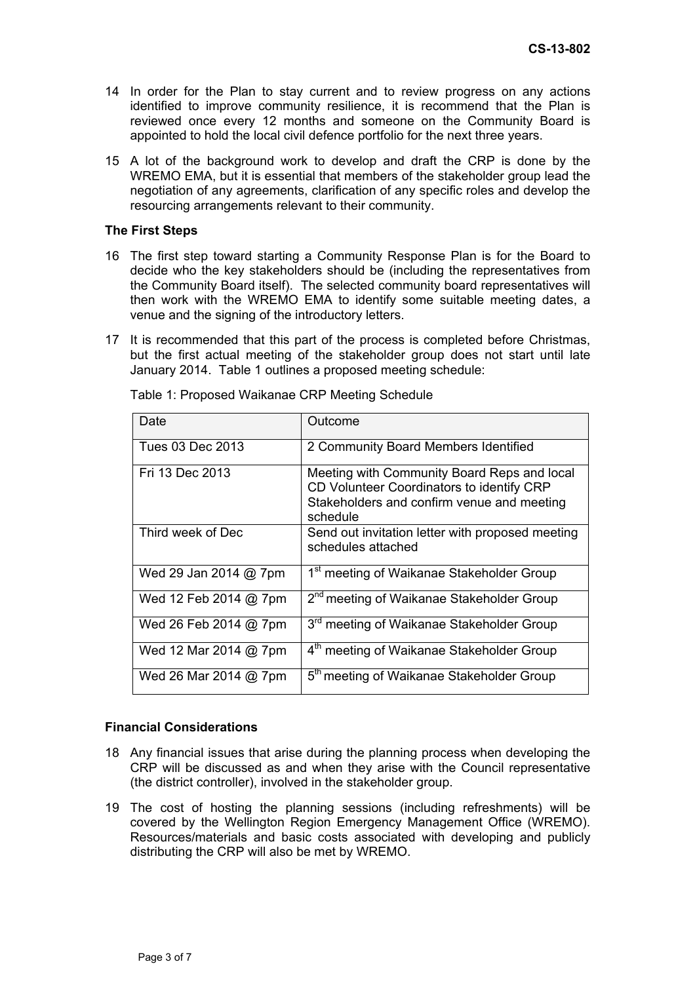- 14 In order for the Plan to stay current and to review progress on any actions identified to improve community resilience, it is recommend that the Plan is reviewed once every 12 months and someone on the Community Board is appointed to hold the local civil defence portfolio for the next three years.
- 15 A lot of the background work to develop and draft the CRP is done by the WREMO EMA, but it is essential that members of the stakeholder group lead the negotiation of any agreements, clarification of any specific roles and develop the resourcing arrangements relevant to their community.

## **The First Steps**

- 16 The first step toward starting a Community Response Plan is for the Board to decide who the key stakeholders should be (including the representatives from the Community Board itself). The selected community board representatives will then work with the WREMO EMA to identify some suitable meeting dates, a venue and the signing of the introductory letters.
- 17 It is recommended that this part of the process is completed before Christmas, but the first actual meeting of the stakeholder group does not start until late January 2014. Table 1 outlines a proposed meeting schedule:

| Date                    | Outcome                                                                                                                                            |
|-------------------------|----------------------------------------------------------------------------------------------------------------------------------------------------|
| Tues 03 Dec 2013        | 2 Community Board Members Identified                                                                                                               |
| Fri 13 Dec 2013         | Meeting with Community Board Reps and local<br>CD Volunteer Coordinators to identify CRP<br>Stakeholders and confirm venue and meeting<br>schedule |
| Third week of Dec       | Send out invitation letter with proposed meeting<br>schedules attached                                                                             |
| Wed 29 Jan 2014 $@$ 7pm | 1 <sup>st</sup> meeting of Waikanae Stakeholder Group                                                                                              |
| Wed 12 Feb 2014 @ 7pm   | 2 <sup>nd</sup> meeting of Waikanae Stakeholder Group                                                                                              |
| Wed 26 Feb 2014 @ 7pm   | 3 <sup>rd</sup> meeting of Waikanae Stakeholder Group                                                                                              |
| Wed 12 Mar 2014 @ 7pm   | 4 <sup>th</sup> meeting of Waikanae Stakeholder Group                                                                                              |
| Wed 26 Mar 2014 @ 7pm   | 5 <sup>th</sup> meeting of Waikanae Stakeholder Group                                                                                              |

Table 1: Proposed Waikanae CRP Meeting Schedule

## **Financial Considerations**

- 18 Any financial issues that arise during the planning process when developing the CRP will be discussed as and when they arise with the Council representative (the district controller), involved in the stakeholder group.
- 19 The cost of hosting the planning sessions (including refreshments) will be covered by the Wellington Region Emergency Management Office (WREMO). Resources/materials and basic costs associated with developing and publicly distributing the CRP will also be met by WREMO.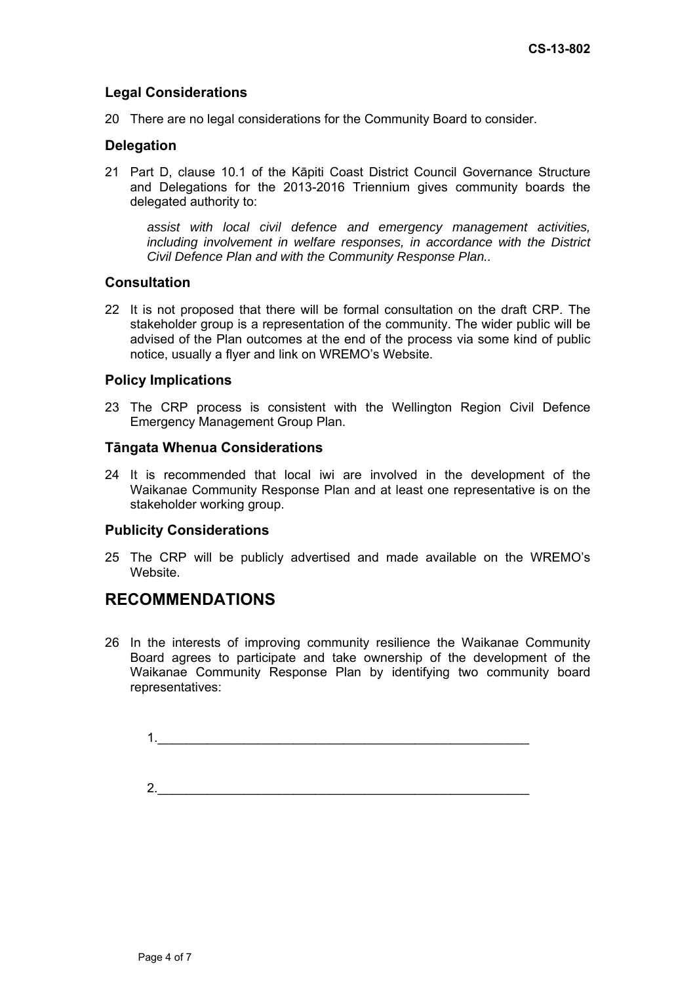# **Legal Considerations**

20 There are no legal considerations for the Community Board to consider.

# **Delegation**

21 Part D, clause 10.1 of the Kāpiti Coast District Council Governance Structure and Delegations for the 2013-2016 Triennium gives community boards the delegated authority to:

*assist with local civil defence and emergency management activities, including involvement in welfare responses, in accordance with the District Civil Defence Plan and with the Community Response Plan..* 

## **Consultation**

22 It is not proposed that there will be formal consultation on the draft CRP. The stakeholder group is a representation of the community. The wider public will be advised of the Plan outcomes at the end of the process via some kind of public notice, usually a flyer and link on WREMO's Website.

## **Policy Implications**

23 The CRP process is consistent with the Wellington Region Civil Defence Emergency Management Group Plan.

## **Tāngata Whenua Considerations**

24 It is recommended that local iwi are involved in the development of the Waikanae Community Response Plan and at least one representative is on the stakeholder working group.

## **Publicity Considerations**

25 The CRP will be publicly advertised and made available on the WREMO's Website.

# **RECOMMENDATIONS**

26 In the interests of improving community resilience the Waikanae Community Board agrees to participate and take ownership of the development of the Waikanae Community Response Plan by identifying two community board representatives:

1.\_\_\_\_\_\_\_\_\_\_\_\_\_\_\_\_\_\_\_\_\_\_\_\_\_\_\_\_\_\_\_\_\_\_\_\_\_\_\_\_\_\_\_\_\_\_\_\_\_\_\_\_

2.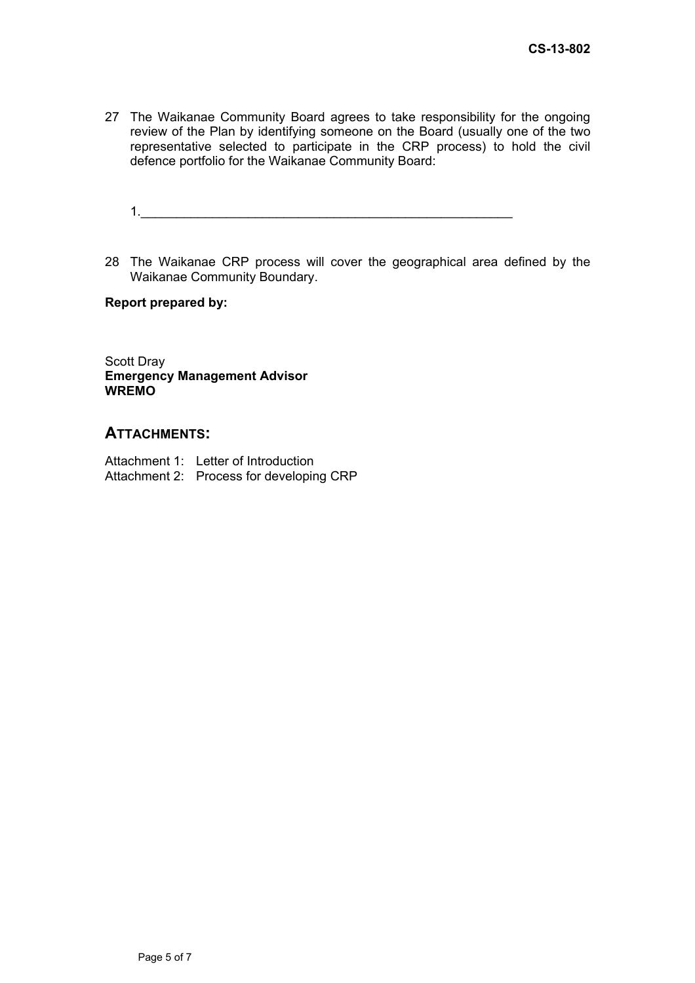- 27 The Waikanae Community Board agrees to take responsibility for the ongoing review of the Plan by identifying someone on the Board (usually one of the two representative selected to participate in the CRP process) to hold the civil defence portfolio for the Waikanae Community Board:
	- $1.$
- 28 The Waikanae CRP process will cover the geographical area defined by the Waikanae Community Boundary.

**Report prepared by:** 

Scott Dray **Emergency Management Advisor WREMO** 

# **ATTACHMENTS:**

| Attachment 1: Letter of Introduction     |
|------------------------------------------|
| Attachment 2: Process for developing CRP |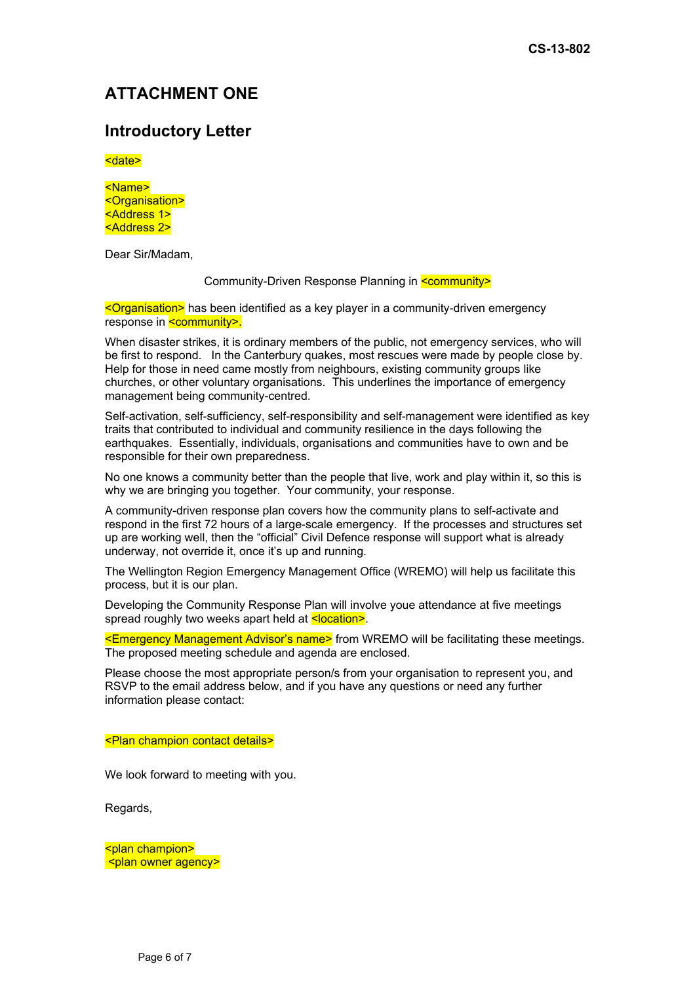# **ATTACHMENT ONE**

# **Introductory Letter**

<date>

<Name> <Organisation> <Address 1> <Address 2>

Dear Sir/Madam,

### Community-Driven Response Planning in **<community>**

<Organisation> has been identified as a key player in a community-driven emergency response in **<community>.** 

When disaster strikes, it is ordinary members of the public, not emergency services, who will be first to respond. In the Canterbury quakes, most rescues were made by people close by. Help for those in need came mostly from neighbours, existing community groups like churches, or other voluntary organisations. This underlines the importance of emergency management being community-centred.

Self-activation, self-sufficiency, self-responsibility and self-management were identified as key traits that contributed to individual and community resilience in the days following the earthquakes. Essentially, individuals, organisations and communities have to own and be responsible for their own preparedness.

No one knows a community better than the people that live, work and play within it, so this is why we are bringing you together. Your community, your response.

A community-driven response plan covers how the community plans to self-activate and respond in the first 72 hours of a large-scale emergency. If the processes and structures set up are working well, then the "official" Civil Defence response will support what is already underway, not override it, once it's up and running.

The Wellington Region Emergency Management Office (WREMO) will help us facilitate this process, but it is our plan.

Developing the Community Response Plan will involve youe attendance at five meetings spread roughly two weeks apart held at **<location>**.

<Emergency Management Advisor's name> from WREMO will be facilitating these meetings. The proposed meeting schedule and agenda are enclosed.

Please choose the most appropriate person/s from your organisation to represent you, and RSVP to the email address below, and if you have any questions or need any further information please contact:

#### <Plan champion contact details>

We look forward to meeting with you.

Regards,

<plan champion> <plan owner agency>